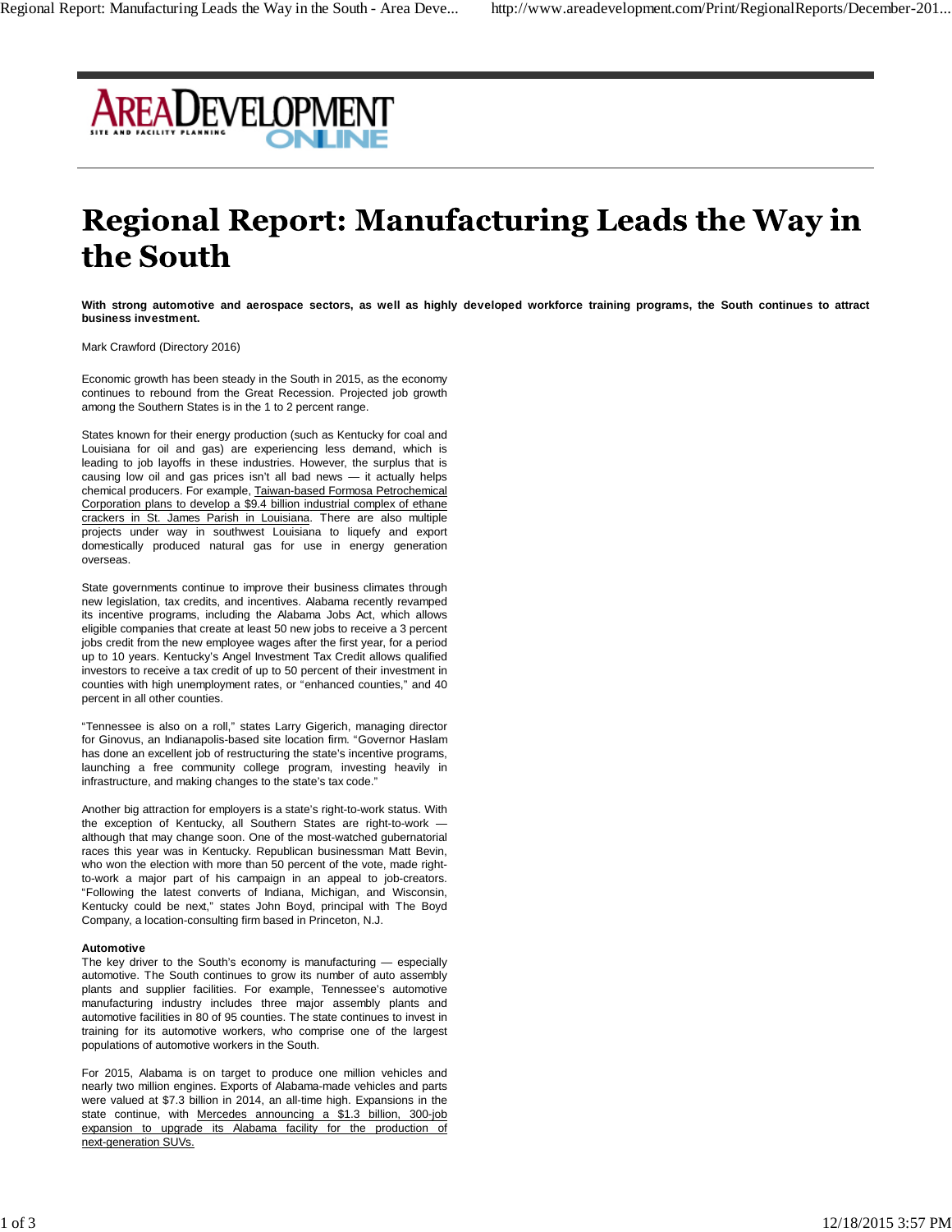

# **Regional Report: Manufacturing Leads the Way in** the South

**With strong automotive and aerospace sectors, as well as highly developed workforce training programs, the South continues to attract business investment.**

Mark Crawford (Directory 2016)

Economic growth has been steady in the South in 2015, as the economy continues to rebound from the Great Recession. Projected job growth among the Southern States is in the 1 to 2 percent range.

States known for their energy production (such as Kentucky for coal and Louisiana for oil and gas) are experiencing less demand, which is leading to job layoffs in these industries. However, the surplus that is causing low oil and gas prices isn't all bad news — it actually helps chemical producers. For example, Taiwan-based Formosa Petrochemical Corporation plans to develop a \$9.4 billion industrial complex of ethane crackers in St. James Parish in Louisiana. There are also multiple projects under way in southwest Louisiana to liquefy and export domestically produced natural gas for use in energy generation overseas.

State governments continue to improve their business climates through new legislation, tax credits, and incentives. Alabama recently revamped its incentive programs, including the Alabama Jobs Act, which allows eligible companies that create at least 50 new jobs to receive a 3 percent jobs credit from the new employee wages after the first year, for a period up to 10 years. Kentucky's Angel Investment Tax Credit allows qualified investors to receive a tax credit of up to 50 percent of their investment in counties with high unemployment rates, or "enhanced counties," and 40 percent in all other counties.

"Tennessee is also on a roll," states Larry Gigerich, managing director for Ginovus, an Indianapolis-based site location firm. "Governor Haslam has done an excellent job of restructuring the state's incentive programs, launching a free community college program, investing heavily in infrastructure, and making changes to the state's tax code."

Another big attraction for employers is a state's right-to-work status. With the exception of Kentucky, all Southern States are right-to-work although that may change soon. One of the most-watched gubernatorial races this year was in Kentucky. Republican businessman Matt Bevin, who won the election with more than 50 percent of the vote, made rightto-work a major part of his campaign in an appeal to job-creators. "Following the latest converts of Indiana, Michigan, and Wisconsin, Kentucky could be next," states John Boyd, principal with The Boyd Company, a location-consulting firm based in Princeton, N.J.

## **Automotive**

The key driver to the South's economy is manufacturing — especially automotive. The South continues to grow its number of auto assembly plants and supplier facilities. For example, Tennessee's automotive manufacturing industry includes three major assembly plants and automotive facilities in 80 of 95 counties. The state continues to invest in training for its automotive workers, who comprise one of the largest populations of automotive workers in the South.

For 2015, Alabama is on target to produce one million vehicles and nearly two million engines. Exports of Alabama-made vehicles and parts were valued at \$7.3 billion in 2014, an all-time high. Expansions in the state continue, with Mercedes announcing a \$1.3 billion, 300-job expansion to upgrade its Alabama facility for the production of next-generation SUVs.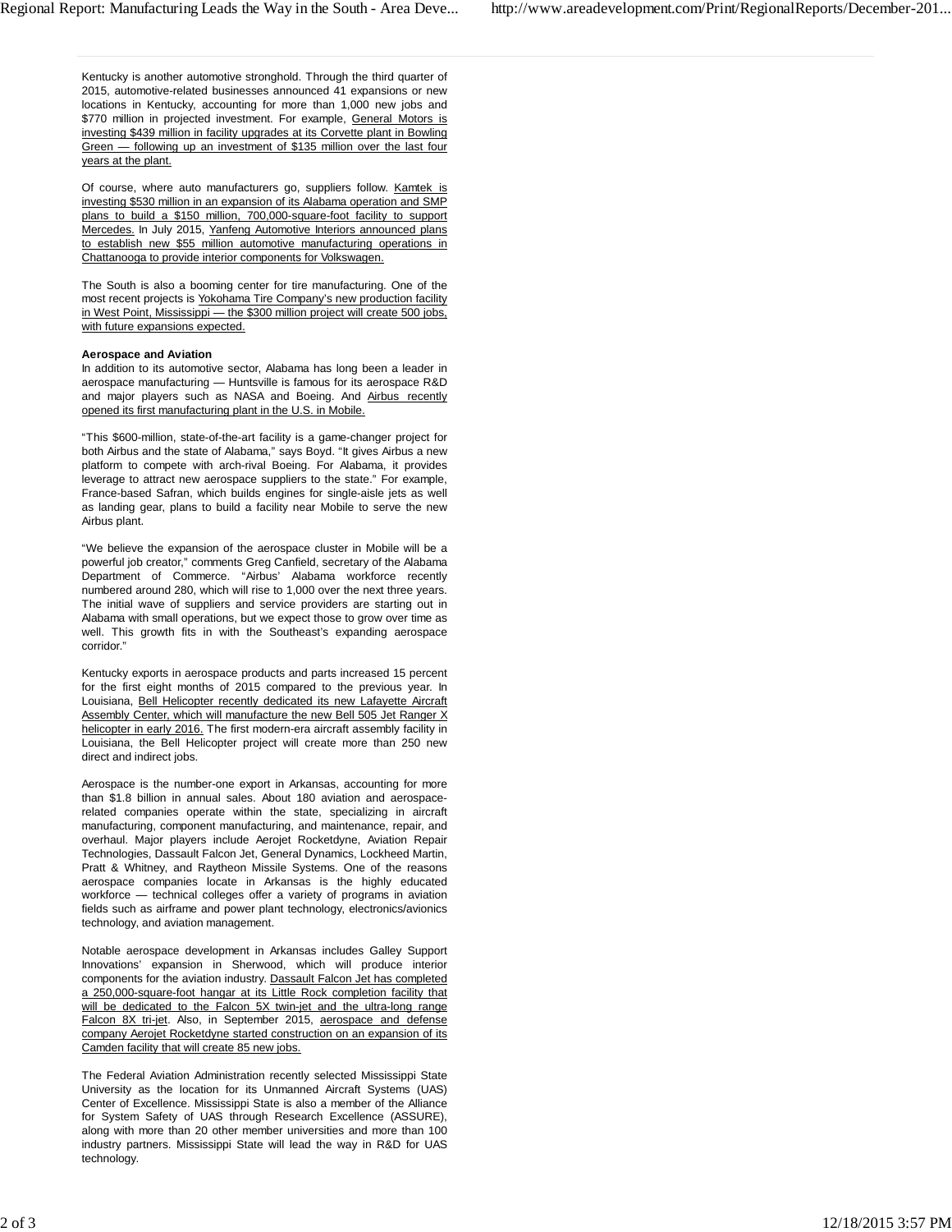Kentucky is another automotive stronghold. Through the third quarter of 2015, automotive-related businesses announced 41 expansions or new locations in Kentucky, accounting for more than 1,000 new jobs and \$770 million in projected investment. For example, General Motors is investing \$439 million in facility upgrades at its Corvette plant in Bowling Green — following up an investment of \$135 million over the last four years at the plant.

Of course, where auto manufacturers go, suppliers follow. Kamtek is investing \$530 million in an expansion of its Alabama operation and SMP plans to build a \$150 million, 700,000-square-foot facility to support Mercedes. In July 2015, Yanfeng Automotive Interiors announced plans to establish new \$55 million automotive manufacturing operations in Chattanooga to provide interior components for Volkswagen.

The South is also a booming center for tire manufacturing. One of the most recent projects is Yokohama Tire Company's new production facility in West Point, Mississippi — the \$300 million project will create 500 jobs, with future expansions expected.

## **Aerospace and Aviation**

In addition to its automotive sector, Alabama has long been a leader in aerospace manufacturing — Huntsville is famous for its aerospace R&D and major players such as NASA and Boeing. And Airbus recently opened its first manufacturing plant in the U.S. in Mobile.

"This \$600-million, state-of-the-art facility is a game-changer project for both Airbus and the state of Alabama," says Boyd. "It gives Airbus a new platform to compete with arch-rival Boeing. For Alabama, it provides leverage to attract new aerospace suppliers to the state." For example, France-based Safran, which builds engines for single-aisle jets as well as landing gear, plans to build a facility near Mobile to serve the new Airbus plant.

"We believe the expansion of the aerospace cluster in Mobile will be a powerful job creator," comments Greg Canfield, secretary of the Alabama Department of Commerce. "Airbus' Alabama workforce recently numbered around 280, which will rise to 1,000 over the next three years. The initial wave of suppliers and service providers are starting out in Alabama with small operations, but we expect those to grow over time as well. This growth fits in with the Southeast's expanding aerospace corridor."

Kentucky exports in aerospace products and parts increased 15 percent for the first eight months of 2015 compared to the previous year. In Louisiana, Bell Helicopter recently dedicated its new Lafayette Aircraft Assembly Center, which will manufacture the new Bell 505 Jet Ranger X helicopter in early 2016. The first modern-era aircraft assembly facility in Louisiana, the Bell Helicopter project will create more than 250 new direct and indirect jobs.

Aerospace is the number-one export in Arkansas, accounting for more than \$1.8 billion in annual sales. About 180 aviation and aerospacerelated companies operate within the state, specializing in aircraft manufacturing, component manufacturing, and maintenance, repair, and overhaul. Major players include Aerojet Rocketdyne, Aviation Repair Technologies, Dassault Falcon Jet, General Dynamics, Lockheed Martin, Pratt & Whitney, and Raytheon Missile Systems. One of the reasons aerospace companies locate in Arkansas is the highly educated workforce — technical colleges offer a variety of programs in aviation fields such as airframe and power plant technology, electronics/avionics technology, and aviation management.

Notable aerospace development in Arkansas includes Galley Support Innovations' expansion in Sherwood, which will produce interior components for the aviation industry. Dassault Falcon Jet has completed a 250,000-square-foot hangar at its Little Rock completion facility that will be dedicated to the Falcon 5X twin-jet and the ultra-long range Falcon 8X tri-jet. Also, in September 2015, aerospace and defense company Aerojet Rocketdyne started construction on an expansion of its Camden facility that will create 85 new jobs.

The Federal Aviation Administration recently selected Mississippi State University as the location for its Unmanned Aircraft Systems (UAS) Center of Excellence. Mississippi State is also a member of the Alliance for System Safety of UAS through Research Excellence (ASSURE), along with more than 20 other member universities and more than 100 industry partners. Mississippi State will lead the way in R&D for UAS technology.